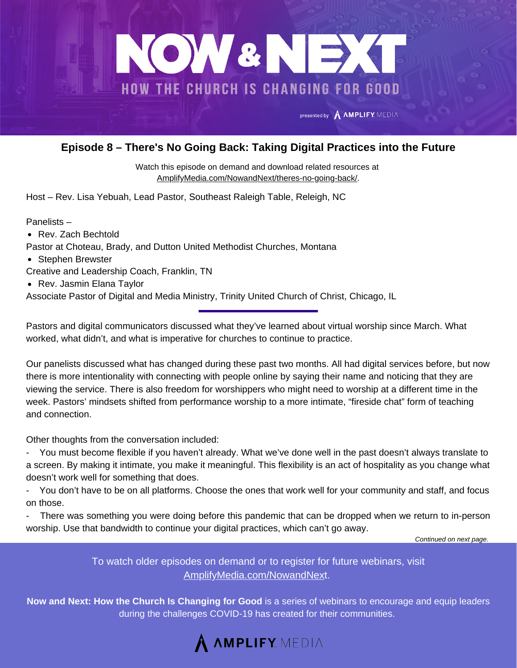

## **Episode 8 – There's No Going Back: Taking Digital Practices into the Future**

Watch this episode on demand and download related resources at [AmplifyMedia.com/NowandNext/theres-no-going-back/.](https://amplifymedia.com/nowandnext/theres-no-going-back/)

Host – Rev. Lisa Yebuah, Lead Pastor, Southeast Raleigh Table, Releigh, NC

Panelists –

- Rev. Zach Bechtold
- Pastor at Choteau, Brady, and Dutton United Methodist Churches, Montana
- Stephen Brewster
- Creative and Leadership Coach, Franklin, TN
- Rev. Jasmin Elana Taylor

Associate Pastor of Digital and Media Ministry, Trinity United Church of Christ, Chicago, IL

Pastors and digital communicators discussed what they've learned about virtual worship since March. What worked, what didn't, and what is imperative for churches to continue to practice.

Our panelists discussed what has changed during these past two months. All had digital services before, but now there is more intentionality with connecting with people online by saying their name and noticing that they are viewing the service. There is also freedom for worshippers who might need to worship at a different time in the week. Pastors' mindsets shifted from performance worship to a more intimate, "fireside chat" form of teaching and connection.

Other thoughts from the conversation included:

- You must become flexible if you haven't already. What we've done well in the past doesn't always translate to a screen. By making it intimate, you make it meaningful. This flexibility is an act of hospitality as you change what doesn't work well for something that does.

You don't have to be on all platforms. Choose the ones that work well for your community and staff, and focus on those.

- There was something you were doing before this pandemic that can be dropped when we return to in-person worship. Use that bandwidth to continue your digital practices, which can't go away.

*Continued on next page.*

To watch older episodes on demand or to register for future webinars, visit [AmplifyMedia.com/NowandNex](https://amplifymedia.com/nowandnext/)t.

**Now and Next: How the Church Is Changing for Good** is a series of webinars to encourage and equip leaders during the challenges COVID-19 has created for their communities.